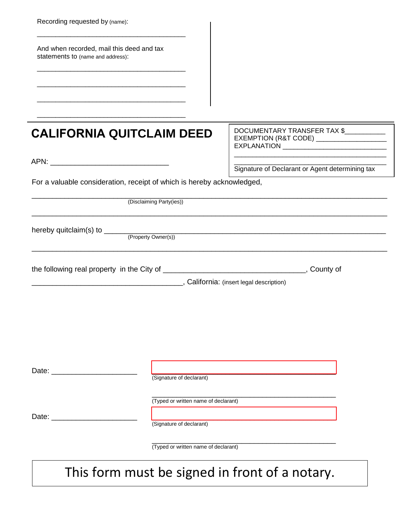| Recording requested by (name):                                                 |                                                                  |                                                                                              |
|--------------------------------------------------------------------------------|------------------------------------------------------------------|----------------------------------------------------------------------------------------------|
| And when recorded, mail this deed and tax<br>statements to (name and address): |                                                                  |                                                                                              |
|                                                                                |                                                                  | DOCUMENTARY TRANSFER TAX \$                                                                  |
| <b>CALIFORNIA QUITCLAIM DEED</b>                                               |                                                                  | EXEMPTION (R&T CODE) ____________________<br>EXPLANATION ___________________________________ |
| For a valuable consideration, receipt of which is hereby acknowledged,         |                                                                  | Signature of Declarant or Agent determining tax                                              |
|                                                                                | (Disclaiming Party(ies))                                         |                                                                                              |
|                                                                                |                                                                  |                                                                                              |
|                                                                                |                                                                  |                                                                                              |
|                                                                                |                                                                  |                                                                                              |
| Date:                                                                          | (Signature of declarant)                                         |                                                                                              |
|                                                                                | (Typed or written name of declarant)<br>(Signature of declarant) |                                                                                              |
|                                                                                | (Typed or written name of declarant)                             |                                                                                              |
|                                                                                |                                                                  |                                                                                              |

## This form must be signed in front of a notary.